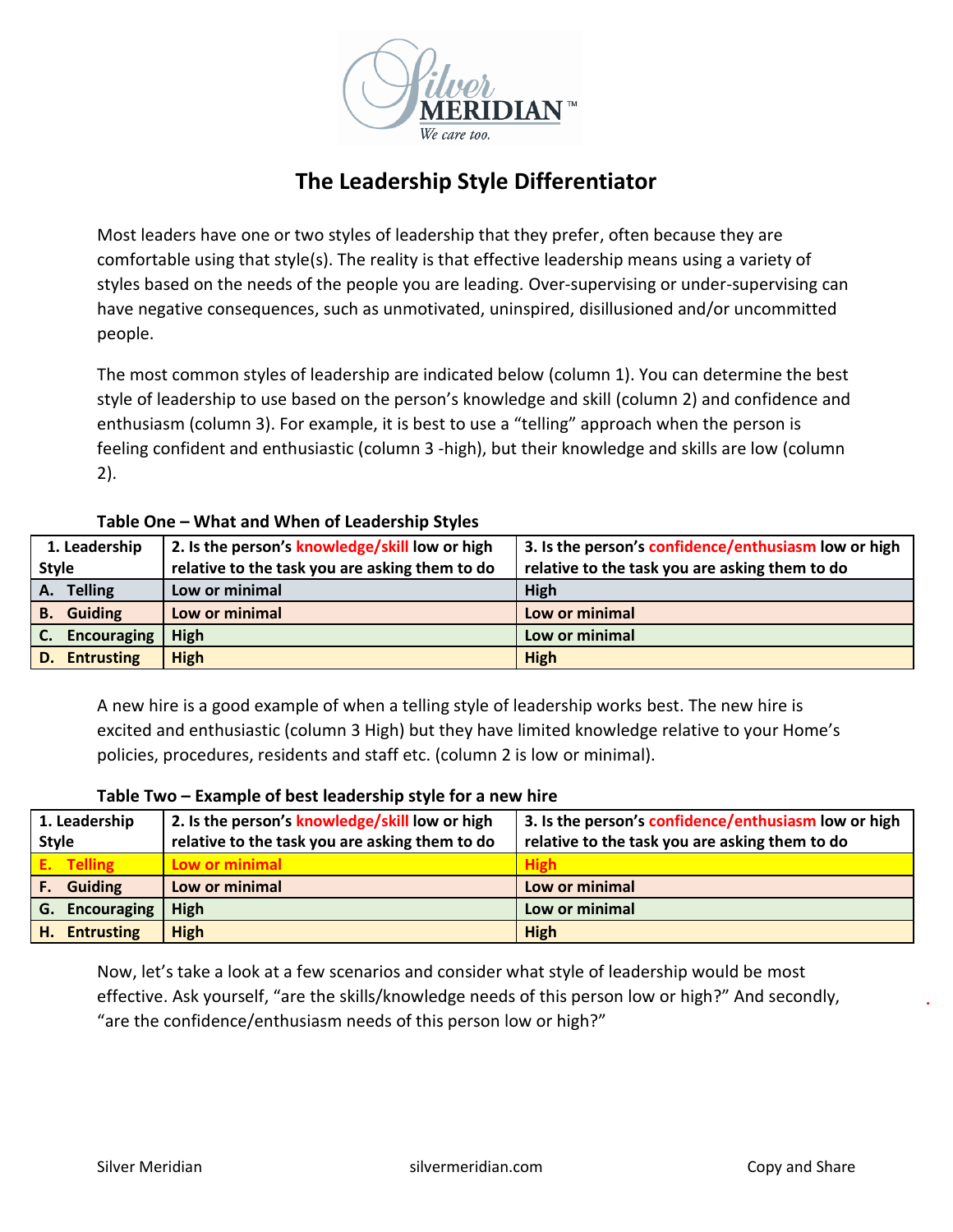

# **The Leadership Style Differentiator**

Most leaders have one or two styles of leadership that they prefer, often because they are comfortable using that style(s). The reality is that effective leadership means using a variety of styles based on the needs of the people you are leading. Over-supervising or under-supervising can have negative consequences, such as unmotivated, uninspired, disillusioned and/or uncommitted people.

The most common styles of leadership are indicated below (column 1). You can determine the best style of leadership to use based on the person's knowledge and skill (column 2) and confidence and enthusiasm (column 3). For example, it is best to use a "telling" approach when the person is feeling confident and enthusiastic (column 3 -high), but their knowledge and skills are low (column 2).

# **Table One – What and When of Leadership Styles**

| 1. Leadership     | 2. Is the person's knowledge/skill low or high | 3. Is the person's confidence/enthusiasm low or high |
|-------------------|------------------------------------------------|------------------------------------------------------|
| <b>Style</b>      | relative to the task you are asking them to do | relative to the task you are asking them to do       |
| A. Telling        | Low or minimal                                 | High                                                 |
| <b>B.</b> Guiding | Low or minimal                                 | Low or minimal                                       |
| C. Encouraging    | <b>High</b>                                    | Low or minimal                                       |
| D. Entrusting     | <b>High</b>                                    | <b>High</b>                                          |

A new hire is a good example of when a telling style of leadership works best. The new hire is excited and enthusiastic (column 3 High) but they have limited knowledge relative to your Home's policies, procedures, residents and staff etc. (column 2 is low or minimal).

| 1. Leadership         | 2. Is the person's knowledge/skill low or high | 3. Is the person's confidence/enthusiasm low or high |
|-----------------------|------------------------------------------------|------------------------------------------------------|
| <b>Style</b>          | relative to the task you are asking them to do | relative to the task you are asking them to do       |
| E. Telling            | Low or minimal                                 |                                                      |
| <b>Guiding</b><br>IF. | Low or minimal                                 | Low or minimal                                       |
| <b>G.</b> Encouraging | High                                           | Low or minimal                                       |
| H. Entrusting         | <b>High</b>                                    | <b>High</b>                                          |

### **Table Two – Example of best leadership style for a new hire**

Now, let's take a look at a few scenarios and consider what style of leadership would be most effective. Ask yourself, "are the skills/knowledge needs of this person low or high?" And secondly, "are the confidence/enthusiasm needs of this person low or high?"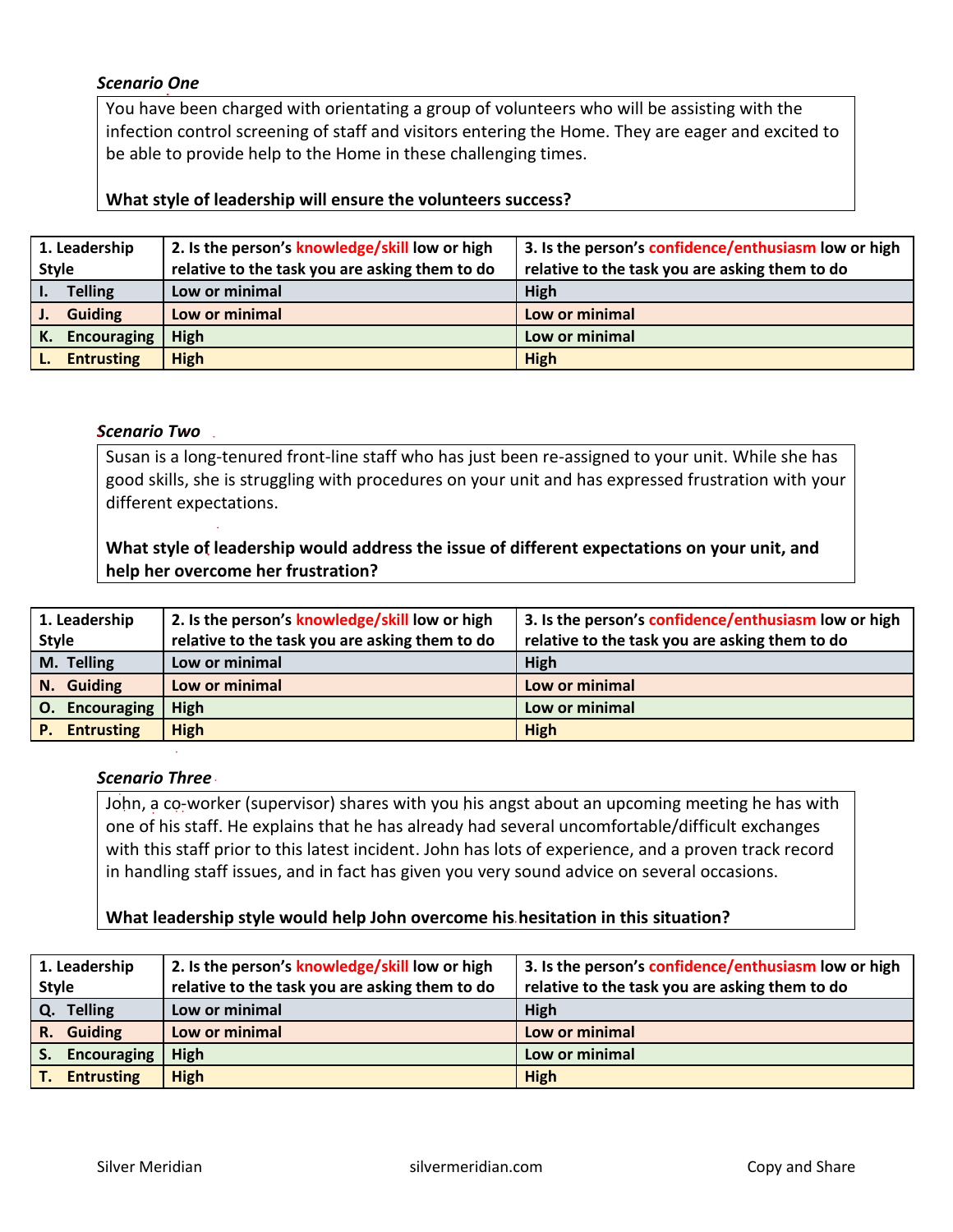#### *Scenario One*

You have been charged with orientating a group of volunteers who will be assisting with the infection control screening of staff and visitors entering the Home. They are eager and excited to be able to provide help to the Home in these challenging times.

#### **What style of leadership will ensure the volunteers success?**

| 1. Leadership                    | 2. Is the person's knowledge/skill low or high | 3. Is the person's confidence/enthusiasm low or high |
|----------------------------------|------------------------------------------------|------------------------------------------------------|
| <b>Style</b>                     | relative to the task you are asking them to do | relative to the task you are asking them to do       |
| <b>Telling</b>                   | Low or minimal                                 | High                                                 |
| <b>Guiding</b><br>$\mathbf{J}$ . | Low or minimal                                 | Low or minimal                                       |
| Encouraging<br>К.                | High                                           | Low or minimal                                       |
| <b>Entrusting</b>                | <b>High</b>                                    | <b>High</b>                                          |

#### *Scenario Two*

Susan is a long-tenured front-line staff who has just been re-assigned to your unit. While she has good skills, she is struggling with procedures on your unit and has expressed frustration with your different expectations.

## **What style of leadership would address the issue of different expectations on your unit, and help her overcome her frustration?**

| 1. Leadership        | 2. Is the person's knowledge/skill low or high | 3. Is the person's confidence/enthusiasm low or high |
|----------------------|------------------------------------------------|------------------------------------------------------|
| <b>Style</b>         | relative to the task you are asking them to do | relative to the task you are asking them to do       |
| M. Telling           | Low or minimal                                 | High                                                 |
| N. Guiding           | Low or minimal                                 | Low or minimal                                       |
| O. Encouraging       | High                                           | Low or minimal                                       |
| <b>P.</b> Entrusting | <b>High</b>                                    | <b>High</b>                                          |

#### *Scenario Three*

John, a co-worker (supervisor) shares with you his angst about an upcoming meeting he has with one of his staff. He explains that he has already had several uncomfortable/difficult exchanges with this staff prior to this latest incident. John has lots of experience, and a proven track record in handling staff issues, and in fact has given you very sound advice on several occasions.

### **What leadership style would help John overcome his hesitation in this situation?**

| 1. Leadership                    | 2. Is the person's knowledge/skill low or high | 3. Is the person's confidence/enthusiasm low or high |
|----------------------------------|------------------------------------------------|------------------------------------------------------|
| Style                            | relative to the task you are asking them to do | relative to the task you are asking them to do       |
| Q. Telling                       | Low or minimal                                 | High                                                 |
| R. Guiding                       | Low or minimal                                 | Low or minimal                                       |
| $\vert$ S.<br><b>Encouraging</b> | High                                           | Low or minimal                                       |
| I т.<br><b>Entrusting</b>        | <b>High</b>                                    | <b>High</b>                                          |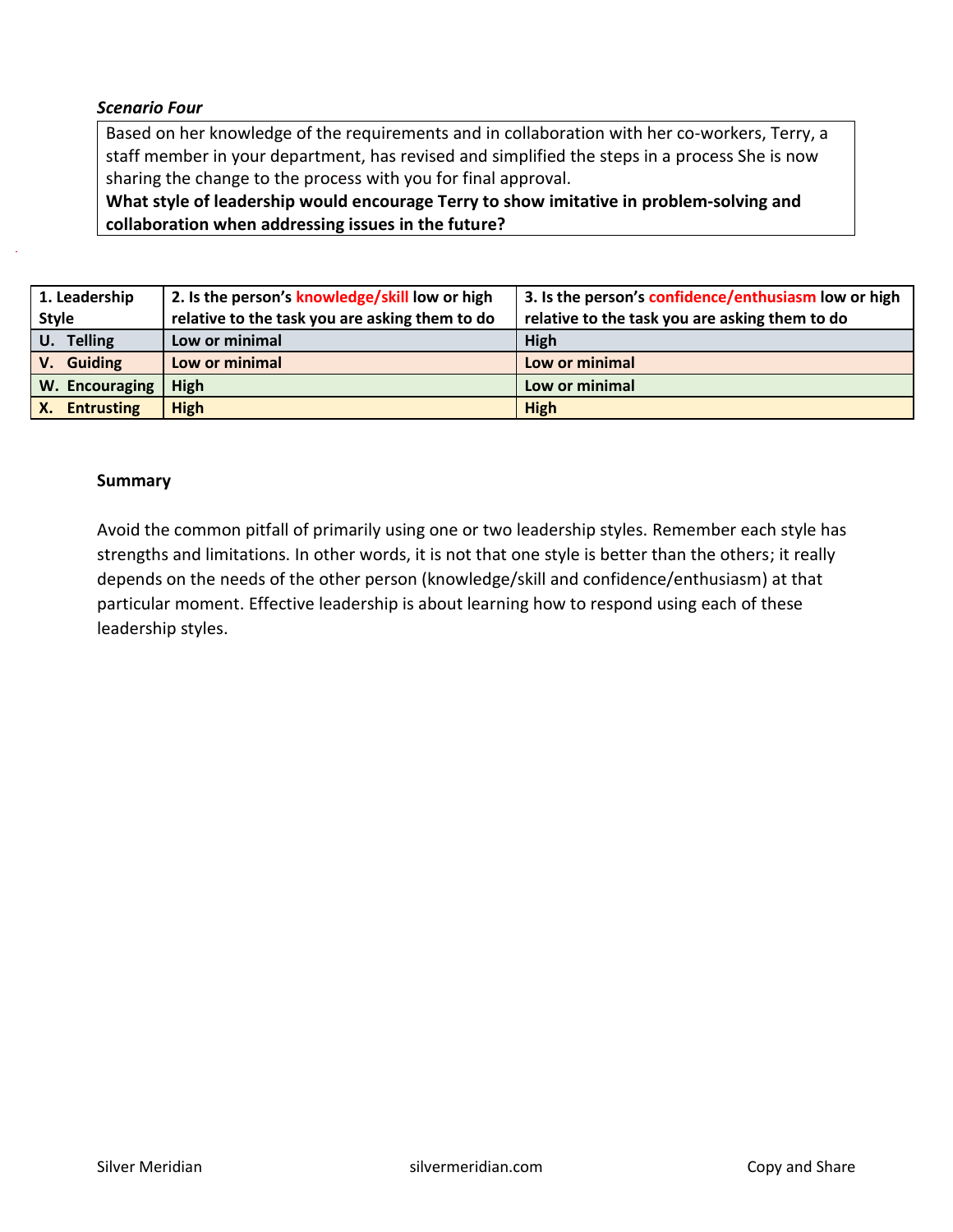#### *Scenario Four*

Based on her knowledge of the requirements and in collaboration with her co-workers, Terry, a staff member in your department, has revised and simplified the steps in a process She is now sharing the change to the process with you for final approval.

**What style of leadership would encourage Terry to show imitative in problem-solving and collaboration when addressing issues in the future?**

| 1. Leadership     | 2. Is the person's knowledge/skill low or high | 3. Is the person's confidence/enthusiasm low or high |
|-------------------|------------------------------------------------|------------------------------------------------------|
| <b>Style</b>      | relative to the task you are asking them to do | relative to the task you are asking them to do       |
| U. Telling        | Low or minimal                                 | High                                                 |
| V. Guiding        | Low or minimal                                 | Low or minimal                                       |
| W. Encouraging    | High                                           | Low or minimal                                       |
| <b>Entrusting</b> | <b>High</b>                                    | <b>High</b>                                          |

#### **Summary**

Avoid the common pitfall of primarily using one or two leadership styles. Remember each style has strengths and limitations. In other words, it is not that one style is better than the others; it really depends on the needs of the other person (knowledge/skill and confidence/enthusiasm) at that particular moment. Effective leadership is about learning how to respond using each of these leadership styles.